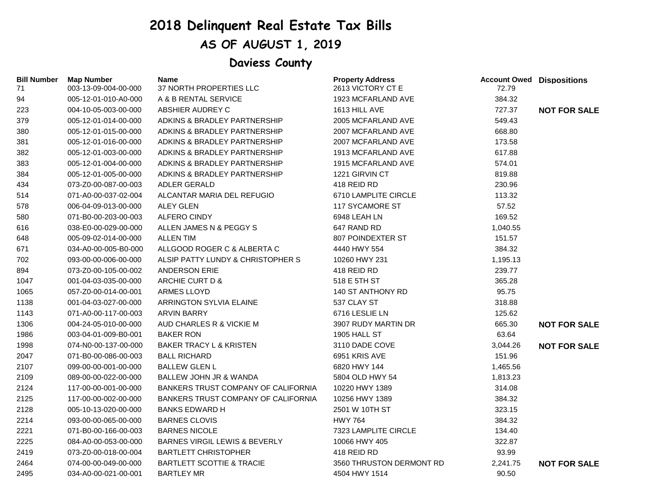## **2018 Delinquent Real Estate Tax Bills**

## **AS OF AUGUST 1, 2019**

## **Daviess County**

| <b>Bill Number</b><br>71 | <b>Map Number</b><br>003-13-09-004-00-000 | Name<br>37 NORTH PROPERTIES LLC            | <b>Property Address</b><br>2613 VICTORY CT E | <b>Account Owed Dispositions</b><br>72.79 |                     |
|--------------------------|-------------------------------------------|--------------------------------------------|----------------------------------------------|-------------------------------------------|---------------------|
| 94                       | 005-12-01-010-A0-000                      | A & B RENTAL SERVICE                       | 1923 MCFARLAND AVE                           | 384.32                                    |                     |
| 223                      | 004-10-05-003-00-000                      | ABSHIER AUDREY C                           | 1613 HILL AVE                                | 727.37                                    | <b>NOT FOR SALE</b> |
| 379                      | 005-12-01-014-00-000                      | ADKINS & BRADLEY PARTNERSHIP               | 2005 MCFARLAND AVE                           | 549.43                                    |                     |
| 380                      | 005-12-01-015-00-000                      | ADKINS & BRADLEY PARTNERSHIP               | 2007 MCFARLAND AVE                           | 668.80                                    |                     |
| 381                      | 005-12-01-016-00-000                      | ADKINS & BRADLEY PARTNERSHIP               | 2007 MCFARLAND AVE                           | 173.58                                    |                     |
| 382                      | 005-12-01-003-00-000                      | ADKINS & BRADLEY PARTNERSHIP               | 1913 MCFARLAND AVE                           | 617.88                                    |                     |
| 383                      | 005-12-01-004-00-000                      | ADKINS & BRADLEY PARTNERSHIP               | 1915 MCFARLAND AVE                           | 574.01                                    |                     |
| 384                      | 005-12-01-005-00-000                      | ADKINS & BRADLEY PARTNERSHIP               | 1221 GIRVIN CT                               | 819.88                                    |                     |
| 434                      | 073-Z0-00-087-00-003                      | <b>ADLER GERALD</b>                        | 418 REID RD                                  | 230.96                                    |                     |
| 514                      | 071-A0-00-037-02-004                      | ALCANTAR MARIA DEL REFUGIO                 | 6710 LAMPLITE CIRCLE                         | 113.32                                    |                     |
| 578                      | 006-04-09-013-00-000                      | <b>ALEY GLEN</b>                           | <b>117 SYCAMORE ST</b>                       | 57.52                                     |                     |
| 580                      | 071-B0-00-203-00-003                      | <b>ALFERO CINDY</b>                        | 6948 LEAH LN                                 | 169.52                                    |                     |
| 616                      | 038-E0-00-029-00-000                      | ALLEN JAMES N & PEGGY S                    | 647 RAND RD                                  | 1,040.55                                  |                     |
| 648                      | 005-09-02-014-00-000                      | <b>ALLEN TIM</b>                           | 807 POINDEXTER ST                            | 151.57                                    |                     |
| 671                      | 034-A0-00-005-B0-000                      | ALLGOOD ROGER C & ALBERTA C                | 4440 HWY 554                                 | 384.32                                    |                     |
| 702                      | 093-00-00-006-00-000                      | ALSIP PATTY LUNDY & CHRISTOPHER S          | 10260 HWY 231                                | 1,195.13                                  |                     |
| 894                      | 073-Z0-00-105-00-002                      | <b>ANDERSON ERIE</b>                       | 418 REID RD                                  | 239.77                                    |                     |
| 1047                     | 001-04-03-035-00-000                      | ARCHIE CURT D &                            | 518 E 5TH ST                                 | 365.28                                    |                     |
| 1065                     | 057-Z0-00-014-00-001                      | ARMES LLOYD                                | 140 ST ANTHONY RD                            | 95.75                                     |                     |
| 1138                     | 001-04-03-027-00-000                      | ARRINGTON SYLVIA ELAINE                    | 537 CLAY ST                                  | 318.88                                    |                     |
| 1143                     | 071-A0-00-117-00-003                      | <b>ARVIN BARRY</b>                         | 6716 LESLIE LN                               | 125.62                                    |                     |
| 1306                     | 004-24-05-010-00-000                      | AUD CHARLES R & VICKIE M                   | 3907 RUDY MARTIN DR                          | 665.30                                    | <b>NOT FOR SALE</b> |
| 1986                     | 003-04-01-009-B0-001                      | <b>BAKER RON</b>                           | 1905 HALL ST                                 | 63.64                                     |                     |
| 1998                     | 074-N0-00-137-00-000                      | <b>BAKER TRACY L &amp; KRISTEN</b>         | 3110 DADE COVE                               | 3,044.26                                  | <b>NOT FOR SALE</b> |
| 2047                     | 071-B0-00-086-00-003                      | <b>BALL RICHARD</b>                        | 6951 KRIS AVE                                | 151.96                                    |                     |
| 2107                     | 099-00-00-001-00-000                      | <b>BALLEW GLEN L</b>                       | 6820 HWY 144                                 | 1,465.56                                  |                     |
| 2109                     | 089-00-00-022-00-000                      | BALLEW JOHN JR & WANDA                     | 5804 OLD HWY 54                              | 1,813.23                                  |                     |
| 2124                     | 117-00-00-001-00-000                      | <b>BANKERS TRUST COMPANY OF CALIFORNIA</b> | 10220 HWY 1389                               | 314.08                                    |                     |
| 2125                     | 117-00-00-002-00-000                      | <b>BANKERS TRUST COMPANY OF CALIFORNIA</b> | 10256 HWY 1389                               | 384.32                                    |                     |
| 2128                     | 005-10-13-020-00-000                      | <b>BANKS EDWARD H</b>                      | 2501 W 10TH ST                               | 323.15                                    |                     |
| 2214                     | 093-00-00-065-00-000                      | <b>BARNES CLOVIS</b>                       | <b>HWY 764</b>                               | 384.32                                    |                     |
| 2221                     | 071-B0-00-166-00-003                      | <b>BARNES NICOLE</b>                       | 7323 LAMPLITE CIRCLE                         | 134.40                                    |                     |
| 2225                     | 084-A0-00-053-00-000                      | <b>BARNES VIRGIL LEWIS &amp; BEVERLY</b>   | 10066 HWY 405                                | 322.87                                    |                     |
| 2419                     | 073-Z0-00-018-00-004                      | <b>BARTLETT CHRISTOPHER</b>                | 418 REID RD                                  | 93.99                                     |                     |
| 2464                     | 074-00-00-049-00-000                      | <b>BARTLETT SCOTTIE &amp; TRACIE</b>       | 3560 THRUSTON DERMONT RD                     | 2,241.75                                  | <b>NOT FOR SALE</b> |
| 2495                     | 034-A0-00-021-00-001                      | <b>BARTLEY MR</b>                          | 4504 HWY 1514                                | 90.50                                     |                     |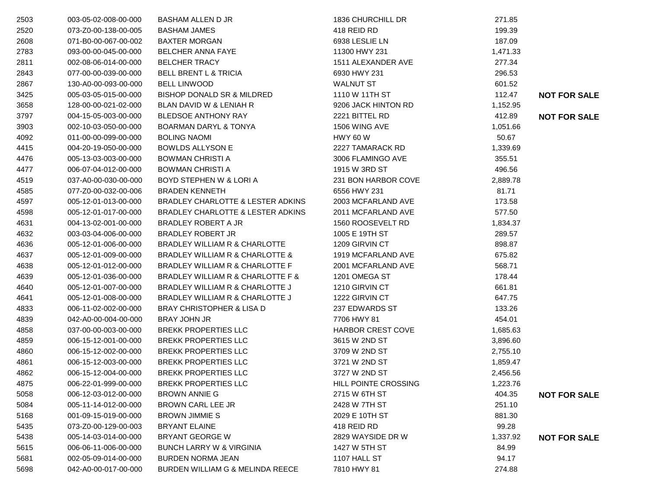| 2503 | 003-05-02-008-00-000 | <b>BASHAM ALLEN D JR</b>             | 1836 CHURCHILL DR        | 271.85   |                     |
|------|----------------------|--------------------------------------|--------------------------|----------|---------------------|
| 2520 | 073-Z0-00-138-00-005 | <b>BASHAM JAMES</b>                  | 418 REID RD              | 199.39   |                     |
| 2608 | 071-B0-00-067-00-002 | <b>BAXTER MORGAN</b>                 | 6938 LESLIE LN           | 187.09   |                     |
| 2783 | 093-00-00-045-00-000 | <b>BELCHER ANNA FAYE</b>             | 11300 HWY 231            | 1,471.33 |                     |
| 2811 | 002-08-06-014-00-000 | <b>BELCHER TRACY</b>                 | 1511 ALEXANDER AVE       | 277.34   |                     |
| 2843 | 077-00-00-039-00-000 | <b>BELL BRENT L &amp; TRICIA</b>     | 6930 HWY 231             | 296.53   |                     |
| 2867 | 130-A0-00-093-00-000 | <b>BELL LINWOOD</b>                  | <b>WALNUT ST</b>         | 601.52   |                     |
| 3425 | 005-03-05-015-00-000 | BISHOP DONALD SR & MILDRED           | 1110 W 11TH ST           | 112.47   | <b>NOT FOR SALE</b> |
| 3658 | 128-00-00-021-02-000 | BLAN DAVID W & LENIAH R              | 9206 JACK HINTON RD      | 1,152.95 |                     |
| 3797 | 004-15-05-003-00-000 | <b>BLEDSOE ANTHONY RAY</b>           | 2221 BITTEL RD           | 412.89   | <b>NOT FOR SALE</b> |
| 3903 | 002-10-03-050-00-000 | <b>BOARMAN DARYL &amp; TONYA</b>     | 1506 WING AVE            | 1,051.66 |                     |
| 4092 | 011-00-00-099-00-000 | <b>BOLING NAOMI</b>                  | <b>HWY 60 W</b>          | 50.67    |                     |
| 4415 | 004-20-19-050-00-000 | <b>BOWLDS ALLYSON E</b>              | 2227 TAMARACK RD         | 1,339.69 |                     |
| 4476 | 005-13-03-003-00-000 | <b>BOWMAN CHRISTI A</b>              | 3006 FLAMINGO AVE        | 355.51   |                     |
| 4477 | 006-07-04-012-00-000 | <b>BOWMAN CHRISTI A</b>              | 1915 W 3RD ST            | 496.56   |                     |
| 4519 | 037-A0-00-030-00-000 | BOYD STEPHEN W & LORI A              | 231 BON HARBOR COVE      | 2,889.78 |                     |
| 4585 | 077-Z0-00-032-00-006 | <b>BRADEN KENNETH</b>                | 6556 HWY 231             | 81.71    |                     |
| 4597 | 005-12-01-013-00-000 | BRADLEY CHARLOTTE & LESTER ADKINS    | 2003 MCFARLAND AVE       | 173.58   |                     |
| 4598 | 005-12-01-017-00-000 | BRADLEY CHARLOTTE & LESTER ADKINS    | 2011 MCFARLAND AVE       | 577.50   |                     |
| 4631 | 004-13-02-001-00-000 | BRADLEY ROBERT A JR                  | 1560 ROOSEVELT RD        | 1,834.37 |                     |
| 4632 | 003-03-04-006-00-000 | <b>BRADLEY ROBERT JR</b>             | 1005 E 19TH ST           | 289.57   |                     |
| 4636 | 005-12-01-006-00-000 | BRADLEY WILLIAM R & CHARLOTTE        | 1209 GIRVIN CT           | 898.87   |                     |
| 4637 | 005-12-01-009-00-000 | BRADLEY WILLIAM R & CHARLOTTE &      | 1919 MCFARLAND AVE       | 675.82   |                     |
| 4638 | 005-12-01-012-00-000 | BRADLEY WILLIAM R & CHARLOTTE F      | 2001 MCFARLAND AVE       | 568.71   |                     |
| 4639 | 005-12-01-036-00-000 | BRADLEY WILLIAM R & CHARLOTTE F &    | 1201 OMEGA ST            | 178.44   |                     |
| 4640 | 005-12-01-007-00-000 | BRADLEY WILLIAM R & CHARLOTTE J      | 1210 GIRVIN CT           | 661.81   |                     |
| 4641 | 005-12-01-008-00-000 | BRADLEY WILLIAM R & CHARLOTTE J      | 1222 GIRVIN CT           | 647.75   |                     |
| 4833 | 006-11-02-002-00-000 | <b>BRAY CHRISTOPHER &amp; LISA D</b> | 237 EDWARDS ST           | 133.26   |                     |
| 4839 | 042-A0-00-004-00-000 | <b>BRAY JOHN JR</b>                  | 7706 HWY 81              | 454.01   |                     |
| 4858 | 037-00-00-003-00-000 | BREKK PROPERTIES LLC                 | <b>HARBOR CREST COVE</b> | 1,685.63 |                     |
| 4859 | 006-15-12-001-00-000 | <b>BREKK PROPERTIES LLC</b>          | 3615 W 2ND ST            | 3,896.60 |                     |
| 4860 | 006-15-12-002-00-000 | <b>BREKK PROPERTIES LLC</b>          | 3709 W 2ND ST            | 2,755.10 |                     |
| 4861 | 006-15-12-003-00-000 | <b>BREKK PROPERTIES LLC</b>          | 3721 W 2ND ST            | 1,859.47 |                     |
| 4862 | 006-15-12-004-00-000 | <b>BREKK PROPERTIES LLC</b>          | 3727 W 2ND ST            | 2,456.56 |                     |
| 4875 | 006-22-01-999-00-000 | <b>BREKK PROPERTIES LLC</b>          | HILL POINTE CROSSING     | 1,223.76 |                     |
| 5058 | 006-12-03-012-00-000 | <b>BROWN ANNIE G</b>                 | 2715 W 6TH ST            | 404.35   | <b>NOT FOR SALE</b> |
| 5084 | 005-11-14-012-00-000 | <b>BROWN CARL LEE JR</b>             | 2428 W 7TH ST            | 251.10   |                     |
| 5168 | 001-09-15-019-00-000 | <b>BROWN JIMMIE S</b>                | 2029 E 10TH ST           | 881.30   |                     |
| 5435 | 073-Z0-00-129-00-003 | <b>BRYANT ELAINE</b>                 | 418 REID RD              | 99.28    |                     |
| 5438 | 005-14-03-014-00-000 | <b>BRYANT GEORGE W</b>               | 2829 WAYSIDE DR W        | 1,337.92 | <b>NOT FOR SALE</b> |
| 5615 | 006-06-11-006-00-000 | <b>BUNCH LARRY W &amp; VIRGINIA</b>  | 1427 W 5TH ST            | 84.99    |                     |
| 5681 | 002-05-09-014-00-000 | <b>BURDEN NORMA JEAN</b>             | 1107 HALL ST             | 94.17    |                     |
| 5698 | 042-A0-00-017-00-000 | BURDEN WILLIAM G & MELINDA REECE     | 7810 HWY 81              | 274.88   |                     |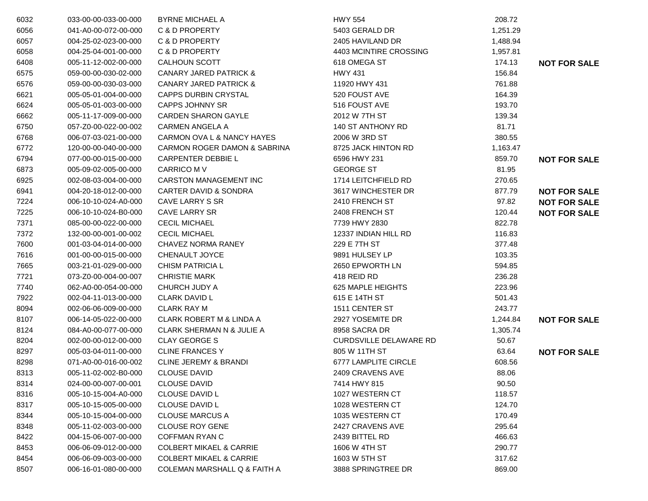| 6032 | 033-00-00-033-00-000 | <b>BYRNE MICHAEL A</b>                  | <b>HWY 554</b>                | 208.72   |                     |
|------|----------------------|-----------------------------------------|-------------------------------|----------|---------------------|
| 6056 | 041-A0-00-072-00-000 | C & D PROPERTY                          | 5403 GERALD DR                | 1,251.29 |                     |
| 6057 | 004-25-02-023-00-000 | C & D PROPERTY                          | 2405 HAVILAND DR              | 1,488.94 |                     |
| 6058 | 004-25-04-001-00-000 | C & D PROPERTY                          | 4403 MCINTIRE CROSSING        | 1,957.81 |                     |
| 6408 | 005-11-12-002-00-000 | <b>CALHOUN SCOTT</b>                    | 618 OMEGA ST                  | 174.13   | <b>NOT FOR SALE</b> |
| 6575 | 059-00-00-030-02-000 | <b>CANARY JARED PATRICK &amp;</b>       | <b>HWY 431</b>                | 156.84   |                     |
| 6576 | 059-00-00-030-03-000 | <b>CANARY JARED PATRICK &amp;</b>       | 11920 HWY 431                 | 761.88   |                     |
| 6621 | 005-05-01-004-00-000 | <b>CAPPS DURBIN CRYSTAL</b>             | 520 FOUST AVE                 | 164.39   |                     |
| 6624 | 005-05-01-003-00-000 | <b>CAPPS JOHNNY SR</b>                  | 516 FOUST AVE                 | 193.70   |                     |
| 6662 | 005-11-17-009-00-000 | <b>CARDEN SHARON GAYLE</b>              | 2012 W 7TH ST                 | 139.34   |                     |
| 6750 | 057-Z0-00-022-00-002 | <b>CARMEN ANGELA A</b>                  | 140 ST ANTHONY RD             | 81.71    |                     |
| 6768 | 006-07-03-021-00-000 | CARMON OVA L & NANCY HAYES              | 2006 W 3RD ST                 | 380.55   |                     |
| 6772 | 120-00-00-040-00-000 | <b>CARMON ROGER DAMON &amp; SABRINA</b> | 8725 JACK HINTON RD           | 1,163.47 |                     |
| 6794 | 077-00-00-015-00-000 | <b>CARPENTER DEBBIE L</b>               | 6596 HWY 231                  | 859.70   | <b>NOT FOR SALE</b> |
| 6873 | 005-09-02-005-00-000 | <b>CARRICO M V</b>                      | <b>GEORGE ST</b>              | 81.95    |                     |
| 6925 | 002-08-03-004-00-000 | <b>CARSTON MANAGEMENT INC</b>           | 1714 LEITCHFIELD RD           | 270.65   |                     |
| 6941 | 004-20-18-012-00-000 | <b>CARTER DAVID &amp; SONDRA</b>        | 3617 WINCHESTER DR            | 877.79   | <b>NOT FOR SALE</b> |
| 7224 | 006-10-10-024-A0-000 | CAVE LARRY S SR                         | 2410 FRENCH ST                | 97.82    | <b>NOT FOR SALE</b> |
| 7225 | 006-10-10-024-B0-000 | <b>CAVE LARRY SR</b>                    | 2408 FRENCH ST                | 120.44   | <b>NOT FOR SALE</b> |
| 7371 | 085-00-00-022-00-000 | <b>CECIL MICHAEL</b>                    | 7739 HWY 2830                 | 822.78   |                     |
| 7372 | 132-00-00-001-00-002 | <b>CECIL MICHAEL</b>                    | 12337 INDIAN HILL RD          | 116.83   |                     |
| 7600 | 001-03-04-014-00-000 | CHAVEZ NORMA RANEY                      | 229 E 7TH ST                  | 377.48   |                     |
| 7616 | 001-00-00-015-00-000 | CHENAULT JOYCE                          | 9891 HULSEY LP                | 103.35   |                     |
| 7665 | 003-21-01-029-00-000 | <b>CHISM PATRICIA L</b>                 | 2650 EPWORTH LN               | 594.85   |                     |
| 7721 | 073-Z0-00-004-00-007 | <b>CHRISTIE MARK</b>                    | 418 REID RD                   | 236.28   |                     |
| 7740 | 062-A0-00-054-00-000 | CHURCH JUDY A                           | 625 MAPLE HEIGHTS             | 223.96   |                     |
| 7922 | 002-04-11-013-00-000 | <b>CLARK DAVID L</b>                    | 615 E 14TH ST                 | 501.43   |                     |
| 8094 | 002-06-06-009-00-000 | <b>CLARK RAY M</b>                      | 1511 CENTER ST                | 243.77   |                     |
| 8107 | 006-14-05-022-00-000 | <b>CLARK ROBERT M &amp; LINDA A</b>     | 2927 YOSEMITE DR              | 1,244.84 | <b>NOT FOR SALE</b> |
| 8124 | 084-A0-00-077-00-000 | <b>CLARK SHERMAN N &amp; JULIE A</b>    | 8958 SACRA DR                 | 1,305.74 |                     |
| 8204 | 002-00-00-012-00-000 | <b>CLAY GEORGE S</b>                    | <b>CURDSVILLE DELAWARE RD</b> | 50.67    |                     |
| 8297 | 005-03-04-011-00-000 | <b>CLINE FRANCES Y</b>                  | 805 W 11TH ST                 | 63.64    | <b>NOT FOR SALE</b> |
| 8298 | 071-A0-00-016-00-002 | <b>CLINE JEREMY &amp; BRANDI</b>        | 6777 LAMPLITE CIRCLE          | 608.56   |                     |
| 8313 | 005-11-02-002-B0-000 | <b>CLOUSE DAVID</b>                     | 2409 CRAVENS AVE              | 88.06    |                     |
| 8314 | 024-00-00-007-00-001 | <b>CLOUSE DAVID</b>                     | 7414 HWY 815                  | 90.50    |                     |
| 8316 | 005-10-15-004-A0-000 | <b>CLOUSE DAVID L</b>                   | 1027 WESTERN CT               | 118.57   |                     |
| 8317 | 005-10-15-005-00-000 | CLOUSE DAVID L                          | 1028 WESTERN CT               | 124.70   |                     |
| 8344 | 005-10-15-004-00-000 | <b>CLOUSE MARCUS A</b>                  | 1035 WESTERN CT               | 170.49   |                     |
| 8348 | 005-11-02-003-00-000 | <b>CLOUSE ROY GENE</b>                  | 2427 CRAVENS AVE              | 295.64   |                     |
| 8422 | 004-15-06-007-00-000 | <b>COFFMAN RYAN C</b>                   | 2439 BITTEL RD                | 466.63   |                     |
| 8453 | 006-06-09-012-00-000 | <b>COLBERT MIKAEL &amp; CARRIE</b>      | 1606 W 4TH ST                 | 290.77   |                     |
| 8454 | 006-06-09-003-00-000 | <b>COLBERT MIKAEL &amp; CARRIE</b>      | 1603 W 5TH ST                 | 317.62   |                     |
| 8507 | 006-16-01-080-00-000 | COLEMAN MARSHALL Q & FAITH A            | 3888 SPRINGTREE DR            | 869.00   |                     |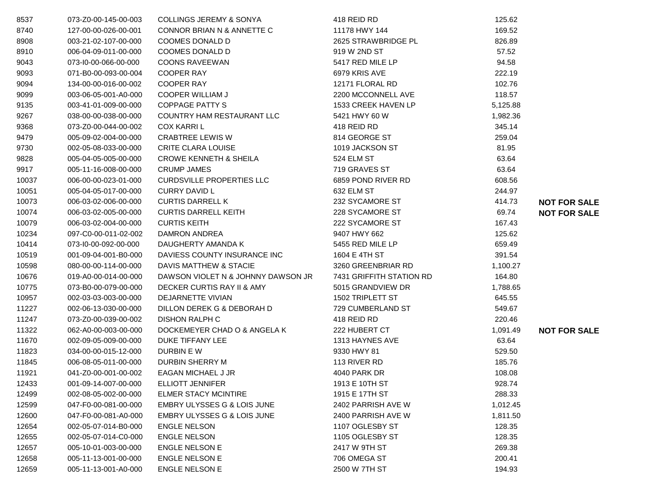| 8537  | 073-Z0-00-145-00-003 | <b>COLLINGS JEREMY &amp; SONYA</b>     | 418 REID RD              | 125.62   |                     |
|-------|----------------------|----------------------------------------|--------------------------|----------|---------------------|
| 8740  | 127-00-00-026-00-001 | CONNOR BRIAN N & ANNETTE C             | 11178 HWY 144            | 169.52   |                     |
| 8908  | 003-21-02-107-00-000 | <b>COOMES DONALD D</b>                 | 2625 STRAWBRIDGE PL      | 826.89   |                     |
| 8910  | 006-04-09-011-00-000 | COOMES DONALD D                        | 919 W 2ND ST             | 57.52    |                     |
| 9043  | 073-10-00-066-00-000 | <b>COONS RAVEEWAN</b>                  | 5417 RED MILE LP         | 94.58    |                     |
| 9093  | 071-B0-00-093-00-004 | <b>COOPER RAY</b>                      | 6979 KRIS AVE            | 222.19   |                     |
| 9094  | 134-00-00-016-00-002 | <b>COOPER RAY</b>                      | 12171 FLORAL RD          | 102.76   |                     |
| 9099  | 003-06-05-001-A0-000 | <b>COOPER WILLIAM J</b>                | 2200 MCCONNELL AVE       | 118.57   |                     |
| 9135  | 003-41-01-009-00-000 | <b>COPPAGE PATTY S</b>                 | 1533 CREEK HAVEN LP      | 5,125.88 |                     |
| 9267  | 038-00-00-038-00-000 | COUNTRY HAM RESTAURANT LLC             | 5421 HWY 60 W            | 1,982.36 |                     |
| 9368  | 073-Z0-00-044-00-002 | <b>COX KARRIL</b>                      | 418 REID RD              | 345.14   |                     |
| 9479  | 005-09-02-004-00-000 | <b>CRABTREE LEWIS W</b>                | 814 GEORGE ST            | 259.04   |                     |
| 9730  | 002-05-08-033-00-000 | <b>CRITE CLARA LOUISE</b>              | 1019 JACKSON ST          | 81.95    |                     |
| 9828  | 005-04-05-005-00-000 | <b>CROWE KENNETH &amp; SHEILA</b>      | 524 ELM ST               | 63.64    |                     |
| 9917  | 005-11-16-008-00-000 | <b>CRUMP JAMES</b>                     | 719 GRAVES ST            | 63.64    |                     |
| 10037 | 006-00-00-023-01-000 | <b>CURDSVILLE PROPERTIES LLC</b>       | 6859 POND RIVER RD       | 608.56   |                     |
| 10051 | 005-04-05-017-00-000 | <b>CURRY DAVID L</b>                   | 632 ELM ST               | 244.97   |                     |
| 10073 | 006-03-02-006-00-000 | <b>CURTIS DARRELL K</b>                | 232 SYCAMORE ST          | 414.73   | <b>NOT FOR SALE</b> |
| 10074 | 006-03-02-005-00-000 | <b>CURTIS DARRELL KEITH</b>            | 228 SYCAMORE ST          | 69.74    | <b>NOT FOR SALE</b> |
| 10079 | 006-03-02-004-00-000 | <b>CURTIS KEITH</b>                    | 222 SYCAMORE ST          | 167.43   |                     |
| 10234 | 097-C0-00-011-02-002 | <b>DAMRON ANDREA</b>                   | 9407 HWY 662             | 125.62   |                     |
| 10414 | 073-10-00-092-00-000 | DAUGHERTY AMANDA K                     | 5455 RED MILE LP         | 659.49   |                     |
| 10519 | 001-09-04-001-B0-000 | DAVIESS COUNTY INSURANCE INC           | 1604 E 4TH ST            | 391.54   |                     |
| 10598 | 080-00-00-114-00-000 | DAVIS MATTHEW & STACIE                 | 3260 GREENBRIAR RD       | 1,100.27 |                     |
| 10676 | 019-A0-00-014-00-000 | DAWSON VIOLET N & JOHNNY DAWSON JR     | 7431 GRIFFITH STATION RD | 164.80   |                     |
| 10775 | 073-B0-00-079-00-000 | DECKER CURTIS RAY II & AMY             | 5015 GRANDVIEW DR        | 1,788.65 |                     |
| 10957 | 002-03-03-003-00-000 | DEJARNETTE VIVIAN                      | 1502 TRIPLETT ST         | 645.55   |                     |
| 11227 | 002-06-13-030-00-000 | DILLON DEREK G & DEBORAH D             | 729 CUMBERLAND ST        | 549.67   |                     |
| 11247 | 073-Z0-00-039-00-002 | <b>DISHON RALPH C</b>                  | 418 REID RD              | 220.46   |                     |
| 11322 | 062-A0-00-003-00-000 | DOCKEMEYER CHAD O & ANGELA K           | 222 HUBERT CT            | 1,091.49 | <b>NOT FOR SALE</b> |
| 11670 | 002-09-05-009-00-000 | DUKE TIFFANY LEE                       | 1313 HAYNES AVE          | 63.64    |                     |
| 11823 | 034-00-00-015-12-000 | DURBIN E W                             | 9330 HWY 81              | 529.50   |                     |
| 11845 | 006-08-05-011-00-000 | DURBIN SHERRY M                        | 113 RIVER RD             | 185.76   |                     |
| 11921 | 041-Z0-00-001-00-002 | EAGAN MICHAEL J JR                     | 4040 PARK DR             | 108.08   |                     |
| 12433 | 001-09-14-007-00-000 | ELLIOTT JENNIFER                       | 1913 E 10TH ST           | 928.74   |                     |
| 12499 | 002-08-05-002-00-000 | <b>ELMER STACY MCINTIRE</b>            | 1915 E 17TH ST           | 288.33   |                     |
| 12599 | 047-F0-00-081-00-000 | EMBRY ULYSSES G & LOIS JUNE            | 2402 PARRISH AVE W       | 1,012.45 |                     |
| 12600 | 047-F0-00-081-A0-000 | <b>EMBRY ULYSSES G &amp; LOIS JUNE</b> | 2400 PARRISH AVE W       | 1,811.50 |                     |
| 12654 | 002-05-07-014-B0-000 | <b>ENGLE NELSON</b>                    | 1107 OGLESBY ST          | 128.35   |                     |
| 12655 | 002-05-07-014-C0-000 | <b>ENGLE NELSON</b>                    | 1105 OGLESBY ST          | 128.35   |                     |
| 12657 | 005-10-01-003-00-000 | <b>ENGLE NELSON E</b>                  | 2417 W 9TH ST            | 269.38   |                     |
| 12658 | 005-11-13-001-00-000 | <b>ENGLE NELSON E</b>                  | 706 OMEGA ST             | 200.41   |                     |
| 12659 | 005-11-13-001-A0-000 | ENGLE NELSON E                         | 2500 W 7TH ST            | 194.93   |                     |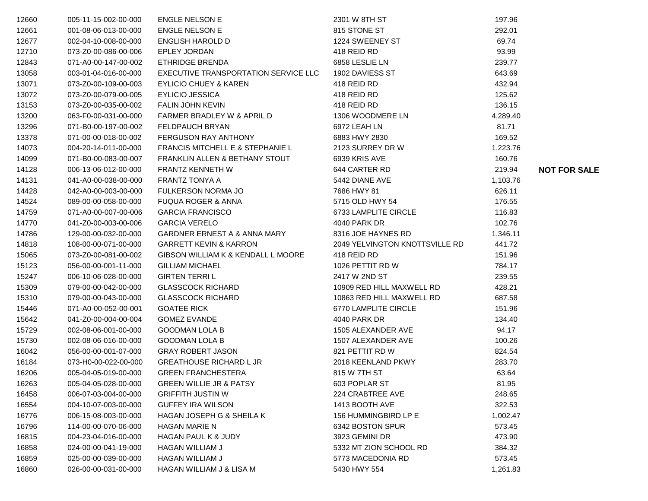| 12660 | 005-11-15-002-00-000 | <b>ENGLE NELSON E</b>                | 2301 W 8TH ST                  | 197.96   |                     |
|-------|----------------------|--------------------------------------|--------------------------------|----------|---------------------|
| 12661 | 001-08-06-013-00-000 | <b>ENGLE NELSON E</b>                | 815 STONE ST                   | 292.01   |                     |
| 12677 | 002-04-10-008-00-000 | ENGLISH HAROLD D                     | 1224 SWEENEY ST                | 69.74    |                     |
| 12710 | 073-Z0-00-086-00-006 | <b>EPLEY JORDAN</b>                  | 418 REID RD                    | 93.99    |                     |
| 12843 | 071-A0-00-147-00-002 | <b>ETHRIDGE BRENDA</b>               | 6858 LESLIE LN                 | 239.77   |                     |
| 13058 | 003-01-04-016-00-000 | EXECUTIVE TRANSPORTATION SERVICE LLC | 1902 DAVIESS ST                | 643.69   |                     |
| 13071 | 073-Z0-00-109-00-003 | EYLICIO CHUEY & KAREN                | 418 REID RD                    | 432.94   |                     |
| 13072 | 073-Z0-00-079-00-005 | <b>EYLICIO JESSICA</b>               | 418 REID RD                    | 125.62   |                     |
| 13153 | 073-Z0-00-035-00-002 | FALIN JOHN KEVIN                     | 418 REID RD                    | 136.15   |                     |
| 13200 | 063-F0-00-031-00-000 | FARMER BRADLEY W & APRIL D           | 1306 WOODMERE LN               | 4,289.40 |                     |
| 13296 | 071-B0-00-197-00-002 | FELDPAUCH BRYAN                      | 6972 LEAH LN                   | 81.71    |                     |
| 13378 | 071-00-00-018-00-002 | FERGUSON RAY ANTHONY                 | 6883 HWY 2830                  | 169.52   |                     |
| 14073 | 004-20-14-011-00-000 | FRANCIS MITCHELL E & STEPHANIE L     | 2123 SURREY DR W               | 1,223.76 |                     |
| 14099 | 071-B0-00-083-00-007 | FRANKLIN ALLEN & BETHANY STOUT       | 6939 KRIS AVE                  | 160.76   |                     |
| 14128 | 006-13-06-012-00-000 | FRANTZ KENNETH W                     | 644 CARTER RD                  | 219.94   | <b>NOT FOR SALE</b> |
| 14131 | 041-A0-00-038-00-000 | <b>FRANTZ TONYA A</b>                | 5442 DIANE AVE                 | 1,103.76 |                     |
| 14428 | 042-A0-00-003-00-000 | FULKERSON NORMA JO                   | 7686 HWY 81                    | 626.11   |                     |
| 14524 | 089-00-00-058-00-000 | <b>FUQUA ROGER &amp; ANNA</b>        | 5715 OLD HWY 54                | 176.55   |                     |
| 14759 | 071-A0-00-007-00-006 | <b>GARCIA FRANCISCO</b>              | 6733 LAMPLITE CIRCLE           | 116.83   |                     |
| 14770 | 041-Z0-00-003-00-006 | <b>GARCIA VERELO</b>                 | 4040 PARK DR                   | 102.76   |                     |
| 14786 | 129-00-00-032-00-000 | GARDNER ERNEST A & ANNA MARY         | 8316 JOE HAYNES RD             | 1,346.11 |                     |
| 14818 | 108-00-00-071-00-000 | <b>GARRETT KEVIN &amp; KARRON</b>    | 2049 YELVINGTON KNOTTSVILLE RD | 441.72   |                     |
| 15065 | 073-Z0-00-081-00-002 | GIBSON WILLIAM K & KENDALL L MOORE   | 418 REID RD                    | 151.96   |                     |
| 15123 | 056-00-00-001-11-000 | <b>GILLIAM MICHAEL</b>               | 1026 PETTIT RD W               | 784.17   |                     |
| 15247 | 006-10-06-028-00-000 | <b>GIRTEN TERRIL</b>                 | 2417 W 2ND ST                  | 239.55   |                     |
| 15309 | 079-00-00-042-00-000 | <b>GLASSCOCK RICHARD</b>             | 10909 RED HILL MAXWELL RD      | 428.21   |                     |
| 15310 | 079-00-00-043-00-000 | <b>GLASSCOCK RICHARD</b>             | 10863 RED HILL MAXWELL RD      | 687.58   |                     |
| 15446 | 071-A0-00-052-00-001 | <b>GOATEE RICK</b>                   | 6770 LAMPLITE CIRCLE           | 151.96   |                     |
| 15642 | 041-Z0-00-004-00-004 | <b>GOMEZ EVANDE</b>                  | 4040 PARK DR                   | 134.40   |                     |
| 15729 | 002-08-06-001-00-000 | <b>GOODMAN LOLA B</b>                | 1505 ALEXANDER AVE             | 94.17    |                     |
| 15730 | 002-08-06-016-00-000 | <b>GOODMAN LOLA B</b>                | 1507 ALEXANDER AVE             | 100.26   |                     |
| 16042 | 056-00-00-001-07-000 | <b>GRAY ROBERT JASON</b>             | 821 PETTIT RD W                | 824.54   |                     |
| 16184 | 073-H0-00-022-00-000 | <b>GREATHOUSE RICHARD L JR</b>       | 2018 KEENLAND PKWY             | 283.70   |                     |
| 16206 | 005-04-05-019-00-000 | <b>GREEN FRANCHESTERA</b>            | 815 W 7TH ST                   | 63.64    |                     |
| 16263 | 005-04-05-028-00-000 | <b>GREEN WILLIE JR &amp; PATSY</b>   | 603 POPLAR ST                  | 81.95    |                     |
| 16458 | 006-07-03-004-00-000 | <b>GRIFFITH JUSTIN W</b>             | 224 CRABTREE AVE               | 248.65   |                     |
| 16554 | 004-10-07-003-00-000 | <b>GUFFEY IRA WILSON</b>             | 1413 BOOTH AVE                 | 322.53   |                     |
| 16776 | 006-15-08-003-00-000 | <b>HAGAN JOSEPH G &amp; SHEILA K</b> | 156 HUMMINGBIRD LP E           | 1,002.47 |                     |
| 16796 | 114-00-00-070-06-000 | <b>HAGAN MARIE N</b>                 | 6342 BOSTON SPUR               | 573.45   |                     |
| 16815 | 004-23-04-016-00-000 | <b>HAGAN PAUL K &amp; JUDY</b>       | 3923 GEMINI DR                 | 473.90   |                     |
| 16858 | 024-00-00-041-19-000 | <b>HAGAN WILLIAM J</b>               | 5332 MT ZION SCHOOL RD         | 384.32   |                     |
| 16859 | 025-00-00-039-00-000 | HAGAN WILLIAM J                      | 5773 MACEDONIA RD              | 573.45   |                     |
| 16860 | 026-00-00-031-00-000 | HAGAN WILLIAM J & LISA M             | 5430 HWY 554                   | 1,261.83 |                     |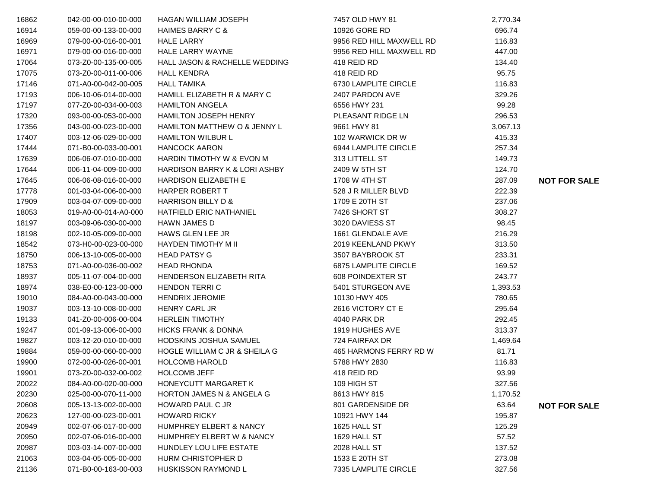| 16862 | 042-00-00-010-00-000 | <b>HAGAN WILLIAM JOSEPH</b>               | 7457 OLD HWY 81             | 2,770.34 |                     |
|-------|----------------------|-------------------------------------------|-----------------------------|----------|---------------------|
| 16914 | 059-00-00-133-00-000 | <b>HAIMES BARRY C &amp;</b>               | 10926 GORE RD               | 696.74   |                     |
| 16969 | 079-00-00-016-00-001 | <b>HALE LARRY</b>                         | 9956 RED HILL MAXWELL RD    | 116.83   |                     |
| 16971 | 079-00-00-016-00-000 | HALE LARRY WAYNE                          | 9956 RED HILL MAXWELL RD    | 447.00   |                     |
| 17064 | 073-Z0-00-135-00-005 | HALL JASON & RACHELLE WEDDING             | 418 REID RD                 | 134.40   |                     |
| 17075 | 073-Z0-00-011-00-006 | <b>HALL KENDRA</b>                        | 418 REID RD                 | 95.75    |                     |
| 17146 | 071-A0-00-042-00-005 | <b>HALL TAMIKA</b>                        | 6730 LAMPLITE CIRCLE        | 116.83   |                     |
| 17193 | 006-10-06-014-00-000 | HAMILL ELIZABETH R & MARY C               | 2407 PARDON AVE             | 329.26   |                     |
| 17197 | 077-Z0-00-034-00-003 | <b>HAMILTON ANGELA</b>                    | 6556 HWY 231                | 99.28    |                     |
| 17320 | 093-00-00-053-00-000 | <b>HAMILTON JOSEPH HENRY</b>              | PLEASANT RIDGE LN           | 296.53   |                     |
| 17356 | 043-00-00-023-00-000 | HAMILTON MATTHEW O & JENNY L              | 9661 HWY 81                 | 3,067.13 |                     |
| 17407 | 003-12-06-029-00-000 | <b>HAMILTON WILBUR L</b>                  | 102 WARWICK DR W            | 415.33   |                     |
| 17444 | 071-B0-00-033-00-001 | <b>HANCOCK AARON</b>                      | 6944 LAMPLITE CIRCLE        | 257.34   |                     |
| 17639 | 006-06-07-010-00-000 | HARDIN TIMOTHY W & EVON M                 | 313 LITTELL ST              | 149.73   |                     |
| 17644 | 006-11-04-009-00-000 | HARDISON BARRY K & LORI ASHBY             | 2409 W 5TH ST               | 124.70   |                     |
| 17645 | 006-06-08-016-00-000 | <b>HARDISON ELIZABETH E</b>               | 1708 W 4TH ST               | 287.09   | <b>NOT FOR SALE</b> |
| 17778 | 001-03-04-006-00-000 | HARPER ROBERT T                           | 528 J R MILLER BLVD         | 222.39   |                     |
| 17909 | 003-04-07-009-00-000 | HARRISON BILLY D &                        | 1709 E 20TH ST              | 237.06   |                     |
| 18053 | 019-A0-00-014-A0-000 | HATFIELD ERIC NATHANIEL                   | 7426 SHORT ST               | 308.27   |                     |
| 18197 | 003-09-06-030-00-000 | <b>HAWN JAMES D</b>                       | 3020 DAVIESS ST             | 98.45    |                     |
| 18198 | 002-10-05-009-00-000 | HAWS GLEN LEE JR                          | 1661 GLENDALE AVE           | 216.29   |                     |
| 18542 | 073-H0-00-023-00-000 | HAYDEN TIMOTHY M II                       | 2019 KEENLAND PKWY          | 313.50   |                     |
| 18750 | 006-13-10-005-00-000 | <b>HEAD PATSY G</b>                       | 3507 BAYBROOK ST            | 233.31   |                     |
| 18753 | 071-A0-00-036-00-002 | <b>HEAD RHONDA</b>                        | <b>6875 LAMPLITE CIRCLE</b> | 169.52   |                     |
| 18937 | 005-11-07-004-00-000 | <b>HENDERSON ELIZABETH RITA</b>           | 608 POINDEXTER ST           | 243.77   |                     |
| 18974 | 038-E0-00-123-00-000 | <b>HENDON TERRIC</b>                      | 5401 STURGEON AVE           | 1,393.53 |                     |
| 19010 | 084-A0-00-043-00-000 | <b>HENDRIX JEROMIE</b>                    | 10130 HWY 405               | 780.65   |                     |
| 19037 | 003-13-10-008-00-000 | <b>HENRY CARL JR</b>                      | 2616 VICTORY CT E           | 295.64   |                     |
| 19133 | 041-Z0-00-006-00-004 | <b>HERLEIN TIMOTHY</b>                    | 4040 PARK DR                | 292.45   |                     |
| 19247 | 001-09-13-006-00-000 | <b>HICKS FRANK &amp; DONNA</b>            | 1919 HUGHES AVE             | 313.37   |                     |
| 19827 | 003-12-20-010-00-000 | HODSKINS JOSHUA SAMUEL                    | 724 FAIRFAX DR              | 1,469.64 |                     |
| 19884 | 059-00-00-060-00-000 | HOGLE WILLIAM C JR & SHEILA G             | 465 HARMONS FERRY RD W      | 81.71    |                     |
| 19900 | 072-00-00-026-00-001 | <b>HOLCOMB HAROLD</b>                     | 5788 HWY 2830               | 116.83   |                     |
| 19901 | 073-Z0-00-032-00-002 | <b>HOLCOMB JEFF</b>                       | 418 REID RD                 | 93.99    |                     |
| 20022 |                      | 084-A0-00-020-00-000 HONEYCUTT MARGARET K | 109 HIGH ST                 | 327.56   |                     |
| 20230 | 025-00-00-070-11-000 | <b>HORTON JAMES N &amp; ANGELA G</b>      | 8613 HWY 815                | 1,170.52 |                     |
| 20608 | 005-13-13-002-00-000 | HOWARD PAUL C JR                          | 801 GARDENSIDE DR           | 63.64    | <b>NOT FOR SALE</b> |
| 20623 | 127-00-00-023-00-001 | <b>HOWARD RICKY</b>                       | 10921 HWY 144               | 195.87   |                     |
| 20949 | 002-07-06-017-00-000 | <b>HUMPHREY ELBERT &amp; NANCY</b>        | 1625 HALL ST                | 125.29   |                     |
| 20950 | 002-07-06-016-00-000 | HUMPHREY ELBERT W & NANCY                 | 1629 HALL ST                | 57.52    |                     |
| 20987 | 003-03-14-007-00-000 | HUNDLEY LOU LIFE ESTATE                   | 2028 HALL ST                | 137.52   |                     |
| 21063 | 003-04-05-005-00-000 | HURM CHRISTOPHER D                        | 1533 E 20TH ST              | 273.08   |                     |
| 21136 | 071-B0-00-163-00-003 | HUSKISSON RAYMOND L                       | 7335 LAMPLITE CIRCLE        | 327.56   |                     |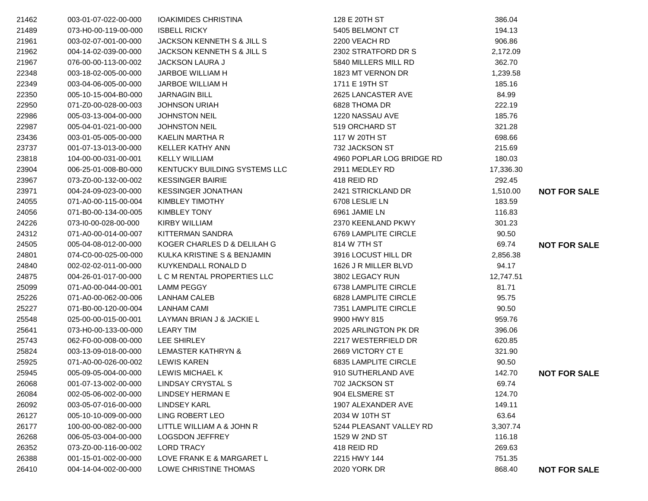| 21462 | 003-01-07-022-00-000 | <b>IOAKIMIDES CHRISTINA</b>           | 128 E 20TH ST             | 386.04    |                     |
|-------|----------------------|---------------------------------------|---------------------------|-----------|---------------------|
| 21489 | 073-H0-00-119-00-000 | <b>ISBELL RICKY</b>                   | 5405 BELMONT CT           | 194.13    |                     |
| 21961 | 003-02-07-001-00-000 | <b>JACKSON KENNETH S &amp; JILL S</b> | 2200 VEACH RD             | 906.86    |                     |
| 21962 | 004-14-02-039-00-000 | JACKSON KENNETH S & JILL S            | 2302 STRATFORD DR S       | 2,172.09  |                     |
| 21967 | 076-00-00-113-00-002 | <b>JACKSON LAURA J</b>                | 5840 MILLERS MILL RD      | 362.70    |                     |
| 22348 | 003-18-02-005-00-000 | JARBOE WILLIAM H                      | 1823 MT VERNON DR         | 1,239.58  |                     |
| 22349 | 003-04-06-005-00-000 | JARBOE WILLIAM H                      | 1711 E 19TH ST            | 185.16    |                     |
| 22350 | 005-10-15-004-B0-000 | <b>JARNAGIN BILL</b>                  | 2625 LANCASTER AVE        | 84.99     |                     |
| 22950 | 071-Z0-00-028-00-003 | <b>JOHNSON URIAH</b>                  | 6828 THOMA DR             | 222.19    |                     |
| 22986 | 005-03-13-004-00-000 | <b>JOHNSTON NEIL</b>                  | 1220 NASSAU AVE           | 185.76    |                     |
| 22987 | 005-04-01-021-00-000 | <b>JOHNSTON NEIL</b>                  | 519 ORCHARD ST            | 321.28    |                     |
| 23436 | 003-01-05-005-00-000 | KAELIN MARTHA R                       | 117 W 20TH ST             | 698.66    |                     |
| 23737 | 001-07-13-013-00-000 | KELLER KATHY ANN                      | 732 JACKSON ST            | 215.69    |                     |
| 23818 | 104-00-00-031-00-001 | <b>KELLY WILLIAM</b>                  | 4960 POPLAR LOG BRIDGE RD | 180.03    |                     |
| 23904 | 006-25-01-008-B0-000 | KENTUCKY BUILDING SYSTEMS LLC         | 2911 MEDLEY RD            | 17,336.30 |                     |
| 23967 | 073-Z0-00-132-00-002 | <b>KESSINGER BAIRIE</b>               | 418 REID RD               | 292.45    |                     |
| 23971 | 004-24-09-023-00-000 | <b>KESSINGER JONATHAN</b>             | 2421 STRICKLAND DR        | 1,510.00  | <b>NOT FOR SALE</b> |
| 24055 | 071-A0-00-115-00-004 | <b>KIMBLEY TIMOTHY</b>                | 6708 LESLIE LN            | 183.59    |                     |
| 24056 | 071-B0-00-134-00-005 | <b>KIMBLEY TONY</b>                   | 6961 JAMIE LN             | 116.83    |                     |
| 24226 | 073-I0-00-028-00-000 | <b>KIRBY WILLIAM</b>                  | 2370 KEENLAND PKWY        | 301.23    |                     |
| 24312 | 071-A0-00-014-00-007 | KITTERMAN SANDRA                      | 6769 LAMPLITE CIRCLE      | 90.50     |                     |
| 24505 | 005-04-08-012-00-000 | KOGER CHARLES D & DELILAH G           | 814 W 7TH ST              | 69.74     | <b>NOT FOR SALE</b> |
| 24801 | 074-C0-00-025-00-000 | KULKA KRISTINE S & BENJAMIN           | 3916 LOCUST HILL DR       | 2,856.38  |                     |
| 24840 | 002-02-02-011-00-000 | KUYKENDALL RONALD D                   | 1626 J R MILLER BLVD      | 94.17     |                     |
| 24875 | 004-26-01-017-00-000 | L C M RENTAL PROPERTIES LLC           | 3802 LEGACY RUN           | 12,747.51 |                     |
| 25099 | 071-A0-00-044-00-001 | <b>LAMM PEGGY</b>                     | 6738 LAMPLITE CIRCLE      | 81.71     |                     |
| 25226 | 071-A0-00-062-00-006 | LANHAM CALEB                          | 6828 LAMPLITE CIRCLE      | 95.75     |                     |
| 25227 | 071-B0-00-120-00-004 | <b>LANHAM CAMI</b>                    | 7351 LAMPLITE CIRCLE      | 90.50     |                     |
| 25548 | 025-00-00-015-00-001 | LAYMAN BRIAN J & JACKIE L             | 9900 HWY 815              | 959.76    |                     |
| 25641 | 073-H0-00-133-00-000 | <b>LEARY TIM</b>                      | 2025 ARLINGTON PK DR      | 396.06    |                     |
| 25743 | 062-F0-00-008-00-000 | LEE SHIRLEY                           | 2217 WESTERFIELD DR       | 620.85    |                     |
| 25824 | 003-13-09-018-00-000 | <b>LEMASTER KATHRYN &amp;</b>         | 2669 VICTORY CT E         | 321.90    |                     |
| 25925 | 071-A0-00-026-00-002 | <b>LEWIS KAREN</b>                    | 6835 LAMPLITE CIRCLE      | 90.50     |                     |
| 25945 | 005-09-05-004-00-000 | LEWIS MICHAEL K                       | 910 SUTHERLAND AVE        | 142.70    | <b>NOT FOR SALE</b> |
| 26068 | 001-07-13-002-00-000 | <b>LINDSAY CRYSTAL S</b>              | 702 JACKSON ST            | 69.74     |                     |
| 26084 | 002-05-06-002-00-000 | LINDSEY HERMAN E                      | 904 ELSMERE ST            | 124.70    |                     |
| 26092 | 003-05-07-016-00-000 | <b>LINDSEY KARL</b>                   | 1907 ALEXANDER AVE        | 149.11    |                     |
| 26127 | 005-10-10-009-00-000 | LING ROBERT LEO                       | 2034 W 10TH ST            | 63.64     |                     |
| 26177 | 100-00-00-082-00-000 | LITTLE WILLIAM A & JOHN R             | 5244 PLEASANT VALLEY RD   | 3,307.74  |                     |
| 26268 | 006-05-03-004-00-000 | <b>LOGSDON JEFFREY</b>                | 1529 W 2ND ST             | 116.18    |                     |
| 26352 | 073-Z0-00-116-00-002 | <b>LORD TRACY</b>                     | 418 REID RD               | 269.63    |                     |
| 26388 | 001-15-01-002-00-000 | LOVE FRANK E & MARGARET L             | 2215 HWY 144              | 751.35    |                     |
| 26410 | 004-14-04-002-00-000 | LOWE CHRISTINE THOMAS                 | 2020 YORK DR              | 868.40    | <b>NOT FOR SALE</b> |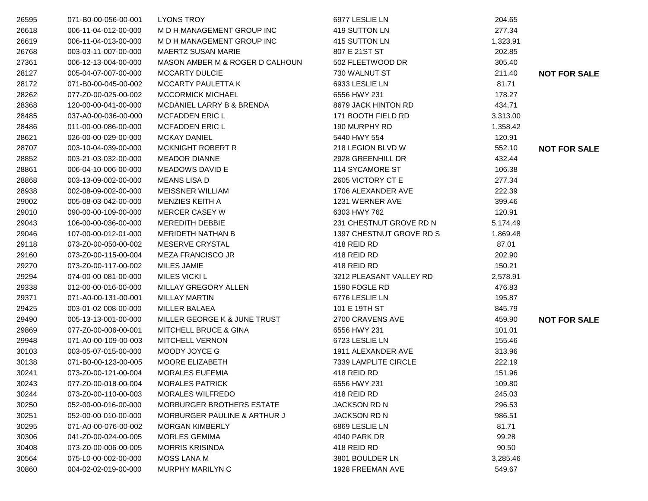| 26595 | 071-B0-00-056-00-001 | <b>LYONS TROY</b>                       | 6977 LESLIE LN           | 204.65   |                     |
|-------|----------------------|-----------------------------------------|--------------------------|----------|---------------------|
| 26618 | 006-11-04-012-00-000 | M D H MANAGEMENT GROUP INC              | 419 SUTTON LN            | 277.34   |                     |
| 26619 | 006-11-04-013-00-000 | M D H MANAGEMENT GROUP INC              | 415 SUTTON LN            | 1,323.91 |                     |
| 26768 | 003-03-11-007-00-000 | MAERTZ SUSAN MARIE                      | 807 E 21ST ST            | 202.85   |                     |
| 27361 | 006-12-13-004-00-000 | MASON AMBER M & ROGER D CALHOUN         | 502 FLEETWOOD DR         | 305.40   |                     |
| 28127 | 005-04-07-007-00-000 | <b>MCCARTY DULCIE</b>                   | 730 WALNUT ST            | 211.40   | <b>NOT FOR SALE</b> |
| 28172 | 071-B0-00-045-00-002 | <b>MCCARTY PAULETTA K</b>               | 6933 LESLIE LN           | 81.71    |                     |
| 28262 | 077-Z0-00-025-00-002 | <b>MCCORMICK MICHAEL</b>                | 6556 HWY 231             | 178.27   |                     |
| 28368 | 120-00-00-041-00-000 | MCDANIEL LARRY B & BRENDA               | 8679 JACK HINTON RD      | 434.71   |                     |
| 28485 | 037-A0-00-036-00-000 | <b>MCFADDEN ERIC L</b>                  | 171 BOOTH FIELD RD       | 3,313.00 |                     |
| 28486 | 011-00-00-086-00-000 | <b>MCFADDEN ERIC L</b>                  | 190 MURPHY RD            | 1,358.42 |                     |
| 28621 | 026-00-00-029-00-000 | <b>MCKAY DANIEL</b>                     | 5440 HWY 554             | 120.91   |                     |
| 28707 | 003-10-04-039-00-000 | <b>MCKNIGHT ROBERT R</b>                | 218 LEGION BLVD W        | 552.10   | <b>NOT FOR SALE</b> |
| 28852 | 003-21-03-032-00-000 | <b>MEADOR DIANNE</b>                    | 2928 GREENHILL DR        | 432.44   |                     |
| 28861 | 006-04-10-006-00-000 | MEADOWS DAVID E                         | 114 SYCAMORE ST          | 106.38   |                     |
| 28868 | 003-13-09-002-00-000 | <b>MEANS LISA D</b>                     | 2605 VICTORY CT E        | 277.34   |                     |
| 28938 | 002-08-09-002-00-000 | <b>MEISSNER WILLIAM</b>                 | 1706 ALEXANDER AVE       | 222.39   |                     |
| 29002 | 005-08-03-042-00-000 | MENZIES KEITH A                         | 1231 WERNER AVE          | 399.46   |                     |
| 29010 | 090-00-00-109-00-000 | <b>MERCER CASEY W</b>                   | 6303 HWY 762             | 120.91   |                     |
| 29043 | 106-00-00-036-00-000 | <b>MEREDITH DEBBIE</b>                  | 231 CHESTNUT GROVE RD N  | 5,174.49 |                     |
| 29046 | 107-00-00-012-01-000 | <b>MERIDETH NATHAN B</b>                | 1397 CHESTNUT GROVE RD S | 1,869.48 |                     |
| 29118 | 073-Z0-00-050-00-002 | MESERVE CRYSTAL                         | 418 REID RD              | 87.01    |                     |
| 29160 | 073-Z0-00-115-00-004 | <b>MEZA FRANCISCO JR</b>                | 418 REID RD              | 202.90   |                     |
| 29270 | 073-Z0-00-117-00-002 | <b>MILES JAMIE</b>                      | 418 REID RD              | 150.21   |                     |
| 29294 | 074-00-00-081-00-000 | <b>MILES VICKI L</b>                    | 3212 PLEASANT VALLEY RD  | 2,578.91 |                     |
| 29338 | 012-00-00-016-00-000 | MILLAY GREGORY ALLEN                    | 1590 FOGLE RD            | 476.83   |                     |
| 29371 | 071-A0-00-131-00-001 | <b>MILLAY MARTIN</b>                    | 6776 LESLIE LN           | 195.87   |                     |
| 29425 | 003-01-02-008-00-000 | <b>MILLER BALAEA</b>                    | 101 E 19TH ST            | 845.79   |                     |
| 29490 | 005-13-13-001-00-000 | MILLER GEORGE K & JUNE TRUST            | 2700 CRAVENS AVE         | 459.90   | <b>NOT FOR SALE</b> |
| 29869 | 077-Z0-00-006-00-001 | <b>MITCHELL BRUCE &amp; GINA</b>        | 6556 HWY 231             | 101.01   |                     |
| 29948 | 071-A0-00-109-00-003 | <b>MITCHELL VERNON</b>                  | 6723 LESLIE LN           | 155.46   |                     |
| 30103 | 003-05-07-015-00-000 | MOODY JOYCE G                           | 1911 ALEXANDER AVE       | 313.96   |                     |
| 30138 | 071-B0-00-123-00-005 | MOORE ELIZABETH                         | 7339 LAMPLITE CIRCLE     | 222.19   |                     |
| 30241 | 073-Z0-00-121-00-004 | <b>MORALES EUFEMIA</b>                  | 418 REID RD              | 151.96   |                     |
| 30243 | 077-Z0-00-018-00-004 | <b>MORALES PATRICK</b>                  | 6556 HWY 231             | 109.80   |                     |
| 30244 | 073-Z0-00-110-00-003 | <b>MORALES WILFREDO</b>                 | 418 REID RD              | 245.03   |                     |
| 30250 | 052-00-00-016-00-000 | <b>MORBURGER BROTHERS ESTATE</b>        | <b>JACKSON RD N</b>      | 296.53   |                     |
| 30251 | 052-00-00-010-00-000 | <b>MORBURGER PAULINE &amp; ARTHUR J</b> | <b>JACKSON RD N</b>      | 986.51   |                     |
| 30295 | 071-A0-00-076-00-002 | <b>MORGAN KIMBERLY</b>                  | 6869 LESLIE LN           | 81.71    |                     |
| 30306 | 041-Z0-00-024-00-005 | <b>MORLES GEMIMA</b>                    | 4040 PARK DR             | 99.28    |                     |
| 30408 | 073-Z0-00-006-00-005 | <b>MORRIS KRISINDA</b>                  | 418 REID RD              | 90.50    |                     |
| 30564 | 075-L0-00-002-00-000 | <b>MOSS LANA M</b>                      | 3801 BOULDER LN          | 3,285.46 |                     |
| 30860 | 004-02-02-019-00-000 | MURPHY MARILYN C                        | 1928 FREEMAN AVE         | 549.67   |                     |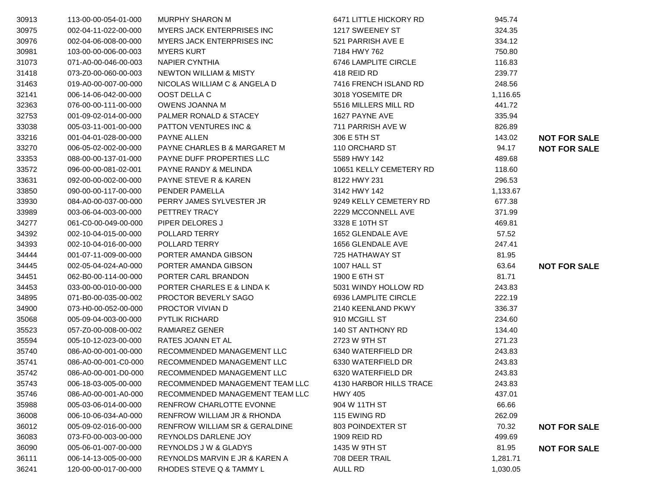| 30913 | 113-00-00-054-01-000 | <b>MURPHY SHARON M</b>                 | 6471 LITTLE HICKORY RD  | 945.74   |                     |
|-------|----------------------|----------------------------------------|-------------------------|----------|---------------------|
| 30975 | 002-04-11-022-00-000 | <b>MYERS JACK ENTERPRISES INC</b>      | 1217 SWEENEY ST         | 324.35   |                     |
| 30976 | 002-04-06-008-00-000 | <b>MYERS JACK ENTERPRISES INC</b>      | 521 PARRISH AVE E       | 334.12   |                     |
| 30981 | 103-00-00-006-00-003 | <b>MYERS KURT</b>                      | 7184 HWY 762            | 750.80   |                     |
| 31073 | 071-A0-00-046-00-003 | NAPIER CYNTHIA                         | 6746 LAMPLITE CIRCLE    | 116.83   |                     |
| 31418 | 073-Z0-00-060-00-003 | NEWTON WILLIAM & MISTY                 | 418 REID RD             | 239.77   |                     |
| 31463 | 019-A0-00-007-00-000 | NICOLAS WILLIAM C & ANGELA D           | 7416 FRENCH ISLAND RD   | 248.56   |                     |
| 32141 | 006-14-06-042-00-000 | OOST DELLA C                           | 3018 YOSEMITE DR        | 1,116.65 |                     |
| 32363 | 076-00-00-111-00-000 | OWENS JOANNA M                         | 5516 MILLERS MILL RD    | 441.72   |                     |
| 32753 | 001-09-02-014-00-000 | PALMER RONALD & STACEY                 | 1627 PAYNE AVE          | 335.94   |                     |
| 33038 | 005-03-11-001-00-000 | <b>PATTON VENTURES INC &amp;</b>       | 711 PARRISH AVE W       | 826.89   |                     |
| 33216 | 001-04-01-028-00-000 | PAYNE ALLEN                            | 306 E 5TH ST            | 143.02   | <b>NOT FOR SALE</b> |
| 33270 | 006-05-02-002-00-000 | PAYNE CHARLES B & MARGARET M           | 110 ORCHARD ST          | 94.17    | <b>NOT FOR SALE</b> |
| 33353 | 088-00-00-137-01-000 | <b>PAYNE DUFF PROPERTIES LLC</b>       | 5589 HWY 142            | 489.68   |                     |
| 33572 | 096-00-00-081-02-001 | PAYNE RANDY & MELINDA                  | 10651 KELLY CEMETERY RD | 118.60   |                     |
| 33631 | 092-00-00-002-00-000 | <b>PAYNE STEVE R &amp; KAREN</b>       | 8122 HWY 231            | 296.53   |                     |
| 33850 | 090-00-00-117-00-000 | PENDER PAMELLA                         | 3142 HWY 142            | 1,133.67 |                     |
| 33930 | 084-A0-00-037-00-000 | PERRY JAMES SYLVESTER JR               | 9249 KELLY CEMETERY RD  | 677.38   |                     |
| 33989 | 003-06-04-003-00-000 | PETTREY TRACY                          | 2229 MCCONNELL AVE      | 371.99   |                     |
| 34277 | 061-C0-00-049-00-000 | PIPER DELORES J                        | 3328 E 10TH ST          | 469.81   |                     |
| 34392 | 002-10-04-015-00-000 | POLLARD TERRY                          | 1652 GLENDALE AVE       | 57.52    |                     |
| 34393 | 002-10-04-016-00-000 | POLLARD TERRY                          | 1656 GLENDALE AVE       | 247.41   |                     |
| 34444 | 001-07-11-009-00-000 | PORTER AMANDA GIBSON                   | 725 HATHAWAY ST         | 81.95    |                     |
| 34445 | 002-05-04-024-A0-000 | PORTER AMANDA GIBSON                   | 1007 HALL ST            | 63.64    | <b>NOT FOR SALE</b> |
| 34451 | 062-B0-00-114-00-000 | PORTER CARL BRANDON                    | 1900 E 6TH ST           | 81.71    |                     |
| 34453 | 033-00-00-010-00-000 | PORTER CHARLES E & LINDA K             | 5031 WINDY HOLLOW RD    | 243.83   |                     |
| 34895 | 071-B0-00-035-00-002 | PROCTOR BEVERLY SAGO                   | 6936 LAMPLITE CIRCLE    | 222.19   |                     |
| 34900 | 073-H0-00-052-00-000 | PROCTOR VIVIAN D                       | 2140 KEENLAND PKWY      | 336.37   |                     |
| 35068 | 005-09-04-003-00-000 | <b>PYTLIK RICHARD</b>                  | 910 MCGILL ST           | 234.60   |                     |
| 35523 | 057-Z0-00-008-00-002 | RAMIAREZ GENER                         | 140 ST ANTHONY RD       | 134.40   |                     |
| 35594 | 005-10-12-023-00-000 | RATES JOANN ET AL                      | 2723 W 9TH ST           | 271.23   |                     |
| 35740 | 086-A0-00-001-00-000 | RECOMMENDED MANAGEMENT LLC             | 6340 WATERFIELD DR      | 243.83   |                     |
| 35741 | 086-A0-00-001-C0-000 | RECOMMENDED MANAGEMENT LLC             | 6330 WATERFIELD DR      | 243.83   |                     |
| 35742 | 086-A0-00-001-D0-000 | RECOMMENDED MANAGEMENT LLC             | 6320 WATERFIELD DR      | 243.83   |                     |
| 35743 | 006-18-03-005-00-000 | RECOMMENDED MANAGEMENT TEAM LLC        | 4130 HARBOR HILLS TRACE | 243.83   |                     |
| 35746 | 086-A0-00-001-A0-000 | RECOMMENDED MANAGEMENT TEAM LLC        | <b>HWY 405</b>          | 437.01   |                     |
| 35988 | 005-03-06-014-00-000 | RENFROW CHARLOTTE EVONNE               | 904 W 11TH ST           | 66.66    |                     |
| 36008 | 006-10-06-034-A0-000 | <b>RENFROW WILLIAM JR &amp; RHONDA</b> | 115 EWING RD            | 262.09   |                     |
| 36012 | 005-09-02-016-00-000 | RENFROW WILLIAM SR & GERALDINE         | 803 POINDEXTER ST       | 70.32    | <b>NOT FOR SALE</b> |
| 36083 | 073-F0-00-003-00-000 | REYNOLDS DARLENE JOY                   | 1909 REID RD            | 499.69   |                     |
| 36090 | 005-06-01-007-00-000 | <b>REYNOLDS J W &amp; GLADYS</b>       | 1435 W 9TH ST           | 81.95    | <b>NOT FOR SALE</b> |
| 36111 | 006-14-13-005-00-000 | REYNOLDS MARVIN E JR & KAREN A         | 708 DEER TRAIL          | 1,281.71 |                     |
| 36241 | 120-00-00-017-00-000 | RHODES STEVE Q & TAMMY L               | AULL RD                 | 1,030.05 |                     |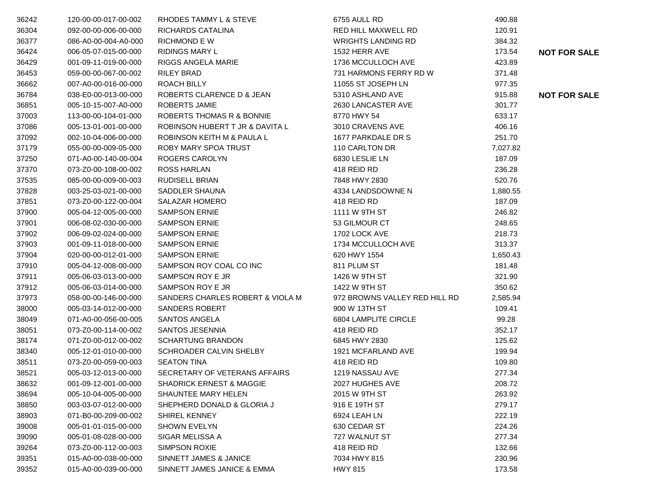| 36242 | 120-00-00-017-00-002 | RHODES TAMMY L & STEVE              | 6755 AULL RD                  | 490.88   |                     |
|-------|----------------------|-------------------------------------|-------------------------------|----------|---------------------|
| 36304 | 092-00-00-006-00-000 | RICHARDS CATALINA                   | RED HILL MAXWELL RD           | 120.91   |                     |
| 36377 | 086-A0-00-004-A0-000 | <b>RICHMOND E W</b>                 | <b>WRIGHTS LANDING RD</b>     | 384.32   |                     |
| 36424 | 006-05-07-015-00-000 | <b>RIDINGS MARY L</b>               | 1532 HERR AVE                 | 173.54   | <b>NOT FOR SALE</b> |
| 36429 | 001-09-11-019-00-000 | RIGGS ANGELA MARIE                  | 1736 MCCULLOCH AVE            | 423.89   |                     |
| 36453 | 059-00-00-067-00-002 | RILEY BRAD                          | 731 HARMONS FERRY RD W        | 371.48   |                     |
| 36662 | 007-A0-00-016-00-000 | ROACH BILLY                         | 11055 ST JOSEPH LN            | 977.35   |                     |
| 36784 | 038-E0-00-013-00-000 | ROBERTS CLARENCE D & JEAN           | 5310 ASHLAND AVE              | 915.88   | <b>NOT FOR SALE</b> |
| 36851 | 005-10-15-007-A0-000 | <b>ROBERTS JAMIE</b>                | 2630 LANCASTER AVE            | 301.77   |                     |
| 37003 | 113-00-00-104-01-000 | ROBERTS THOMAS R & BONNIE           | 8770 HWY 54                   | 633.17   |                     |
| 37086 | 005-13-01-001-00-000 | ROBINSON HUBERT T JR & DAVITA L     | 3010 CRAVENS AVE              | 406.16   |                     |
| 37092 | 002-10-04-006-00-000 | ROBINSON KEITH M & PAULA L          | 1677 PARKDALE DR S            | 251.70   |                     |
| 37179 | 055-00-00-009-05-000 | ROBY MARY SPOA TRUST                | 110 CARLTON DR                | 7,027.82 |                     |
| 37250 | 071-A0-00-140-00-004 | ROGERS CAROLYN                      | 6830 LESLIE LN                | 187.09   |                     |
| 37370 | 073-Z0-00-108-00-002 | <b>ROSS HARLAN</b>                  | 418 REID RD                   | 236.28   |                     |
| 37535 | 085-00-00-009-00-003 | RUDISELL BRIAN                      | 7848 HWY 2830                 | 520.76   |                     |
| 37828 | 003-25-03-021-00-000 | SADDLER SHAUNA                      | 4334 LANDSDOWNE N             | 1,880.55 |                     |
| 37851 | 073-Z0-00-122-00-004 | <b>SALAZAR HOMERO</b>               | 418 REID RD                   | 187.09   |                     |
| 37900 | 005-04-12-005-00-000 | <b>SAMPSON ERNIE</b>                | 1111 W 9TH ST                 | 246.82   |                     |
| 37901 | 006-08-02-030-00-000 | <b>SAMPSON ERNIE</b>                | 53 GILMOUR CT                 | 248.65   |                     |
| 37902 | 006-09-02-024-00-000 | <b>SAMPSON ERNIE</b>                | 1702 LOCK AVE                 | 218.73   |                     |
| 37903 | 001-09-11-018-00-000 | <b>SAMPSON ERNIE</b>                | 1734 MCCULLOCH AVE            | 313.37   |                     |
| 37904 | 020-00-00-012-01-000 | <b>SAMPSON ERNIE</b>                | 620 HWY 1554                  | 1,650.43 |                     |
| 37910 | 005-04-12-008-00-000 | SAMPSON ROY COAL CO INC             | 811 PLUM ST                   | 181.48   |                     |
| 37911 | 005-06-03-013-00-000 | SAMPSON ROY E JR                    | 1426 W 9TH ST                 | 321.90   |                     |
| 37912 | 005-06-03-014-00-000 | SAMPSON ROY E JR                    | 1422 W 9TH ST                 | 350.62   |                     |
| 37973 | 058-00-00-146-00-000 | SANDERS CHARLES ROBERT & VIOLA M    | 972 BROWNS VALLEY RED HILL RD | 2,585.94 |                     |
| 38000 | 005-03-14-012-00-000 | <b>SANDERS ROBERT</b>               | 900 W 13TH ST                 | 109.41   |                     |
| 38049 | 071-A0-00-056-00-005 | SANTOS ANGELA                       | 6804 LAMPLITE CIRCLE          | 99.28    |                     |
| 38051 | 073-Z0-00-114-00-002 | SANTOS JESENNIA                     | 418 REID RD                   | 352.17   |                     |
| 38174 | 071-Z0-00-012-00-002 | <b>SCHARTUNG BRANDON</b>            | 6845 HWY 2830                 | 125.62   |                     |
| 38340 | 005-12-01-010-00-000 | SCHROADER CALVIN SHELBY             | 1921 MCFARLAND AVE            | 199.94   |                     |
| 38511 | 073-Z0-00-059-00-003 | <b>SEATON TINA</b>                  | 418 REID RD                   | 109.80   |                     |
| 38521 | 005-03-12-013-00-000 | SECRETARY OF VETERANS AFFAIRS       | 1219 NASSAU AVE               | 277.34   |                     |
| 38632 | 001-09-12-001-00-000 | <b>SHADRICK ERNEST &amp; MAGGIE</b> | 2027 HUGHES AVE               | 208.72   |                     |
| 38694 | 005-10-04-005-00-000 | SHAUNTEE MARY HELEN                 | 2015 W 9TH ST                 | 263.92   |                     |
| 38850 | 003-03-07-012-00-000 | SHEPHERD DONALD & GLORIA J          | 916 E 19TH ST                 | 279.17   |                     |
| 38903 | 071-B0-00-209-00-002 | SHIREL KENNEY                       | 6924 LEAH LN                  | 222.19   |                     |
| 39008 | 005-01-01-015-00-000 | <b>SHOWN EVELYN</b>                 | 630 CEDAR ST                  | 224.26   |                     |
| 39090 | 005-01-08-028-00-000 | SIGAR MELISSA A                     | 727 WALNUT ST                 | 277.34   |                     |
| 39264 | 073-Z0-00-112-00-003 | SIMPSON ROXIE                       | 418 REID RD                   | 132.66   |                     |
| 39351 | 015-A0-00-038-00-000 | SINNETT JAMES & JANICE              | 7034 HWY 815                  | 230.96   |                     |
| 39352 | 015-A0-00-039-00-000 | SINNETT JAMES JANICE & EMMA         | <b>HWY 815</b>                | 173.58   |                     |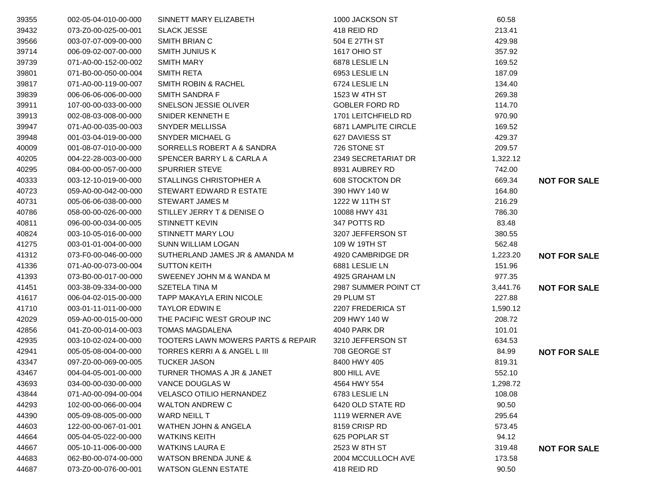| 39355 | 002-05-04-010-00-000 | SINNETT MARY ELIZABETH             | 1000 JACKSON ST             | 60.58    |                     |
|-------|----------------------|------------------------------------|-----------------------------|----------|---------------------|
| 39432 | 073-Z0-00-025-00-001 | <b>SLACK JESSE</b>                 | 418 REID RD                 | 213.41   |                     |
| 39566 | 003-07-07-009-00-000 | SMITH BRIAN C                      | 504 E 27TH ST               | 429.98   |                     |
| 39714 | 006-09-02-007-00-000 | <b>SMITH JUNIUS K</b>              | 1617 OHIO ST                | 357.92   |                     |
| 39739 | 071-A0-00-152-00-002 | <b>SMITH MARY</b>                  | 6878 LESLIE LN              | 169.52   |                     |
| 39801 | 071-B0-00-050-00-004 | <b>SMITH RETA</b>                  | 6953 LESLIE LN              | 187.09   |                     |
| 39817 | 071-A0-00-119-00-007 | <b>SMITH ROBIN &amp; RACHEL</b>    | 6724 LESLIE LN              | 134.40   |                     |
| 39839 | 006-06-06-006-00-000 | <b>SMITH SANDRA F</b>              | 1523 W 4TH ST               | 269.38   |                     |
| 39911 | 107-00-00-033-00-000 | SNELSON JESSIE OLIVER              | <b>GOBLER FORD RD</b>       | 114.70   |                     |
| 39913 | 002-08-03-008-00-000 | SNIDER KENNETH E                   | 1701 LEITCHFIELD RD         | 970.90   |                     |
| 39947 | 071-A0-00-035-00-003 | SNYDER MELLISSA                    | <b>6871 LAMPLITE CIRCLE</b> | 169.52   |                     |
| 39948 | 001-03-04-019-00-000 | SNYDER MICHAEL G                   | 627 DAVIESS ST              | 429.37   |                     |
| 40009 | 001-08-07-010-00-000 | SORRELLS ROBERT A & SANDRA         | 726 STONE ST                | 209.57   |                     |
| 40205 | 004-22-28-003-00-000 | SPENCER BARRY L & CARLA A          | 2349 SECRETARIAT DR         | 1,322.12 |                     |
| 40295 | 084-00-00-057-00-000 | <b>SPURRIER STEVE</b>              | 8931 AUBREY RD              | 742.00   |                     |
| 40333 | 003-12-10-019-00-000 | STALLINGS CHRISTOPHER A            | 608 STOCKTON DR             | 669.34   | <b>NOT FOR SALE</b> |
| 40723 | 059-A0-00-042-00-000 | STEWART EDWARD R ESTATE            | 390 HWY 140 W               | 164.80   |                     |
| 40731 | 005-06-06-038-00-000 | <b>STEWART JAMES M</b>             | 1222 W 11TH ST              | 216.29   |                     |
| 40786 | 058-00-00-026-00-000 | STILLEY JERRY T & DENISE O         | 10088 HWY 431               | 786.30   |                     |
| 40811 | 096-00-00-034-00-005 | <b>STINNETT KEVIN</b>              | 347 POTTS RD                | 83.48    |                     |
| 40824 | 003-10-05-016-00-000 | STINNETT MARY LOU                  | 3207 JEFFERSON ST           | 380.55   |                     |
| 41275 | 003-01-01-004-00-000 | <b>SUNN WILLIAM LOGAN</b>          | 109 W 19TH ST               | 562.48   |                     |
| 41312 | 073-F0-00-046-00-000 | SUTHERLAND JAMES JR & AMANDA M     | 4920 CAMBRIDGE DR           | 1,223.20 | <b>NOT FOR SALE</b> |
| 41336 | 071-A0-00-073-00-004 | <b>SUTTON KEITH</b>                | 6881 LESLIE LN              | 151.96   |                     |
| 41393 | 073-B0-00-017-00-000 | SWEENEY JOHN M & WANDA M           | 4925 GRAHAM LN              | 977.35   |                     |
| 41451 | 003-38-09-334-00-000 | SZETELA TINA M                     | 2987 SUMMER POINT CT        | 3,441.76 | <b>NOT FOR SALE</b> |
| 41617 | 006-04-02-015-00-000 | TAPP MAKAYLA ERIN NICOLE           | 29 PLUM ST                  | 227.88   |                     |
| 41710 | 003-01-11-011-00-000 | <b>TAYLOR EDWIN E</b>              | 2207 FREDERICA ST           | 1,590.12 |                     |
| 42029 | 059-A0-00-015-00-000 | THE PACIFIC WEST GROUP INC         | 209 HWY 140 W               | 208.72   |                     |
| 42856 | 041-Z0-00-014-00-003 | <b>TOMAS MAGDALENA</b>             | 4040 PARK DR                | 101.01   |                     |
| 42935 | 003-10-02-024-00-000 | TOOTERS LAWN MOWERS PARTS & REPAIR | 3210 JEFFERSON ST           | 634.53   |                     |
| 42941 | 005-05-08-004-00-000 | TORRES KERRI A & ANGEL L III       | 708 GEORGE ST               | 84.99    | <b>NOT FOR SALE</b> |
| 43347 | 097-Z0-00-069-00-005 | <b>TUCKER JASON</b>                | 8400 HWY 405                | 819.31   |                     |
| 43467 | 004-04-05-001-00-000 | TURNER THOMAS A JR & JANET         | 800 HILL AVE                | 552.10   |                     |
| 43693 | 034-00-00-030-00-000 | VANCE DOUGLAS W                    | 4564 HWY 554                | 1,298.72 |                     |
| 43844 | 071-A0-00-094-00-004 | <b>VELASCO OTILIO HERNANDEZ</b>    | 6783 LESLIE LN              | 108.08   |                     |
| 44293 | 102-00-00-066-00-004 | <b>WALTON ANDREW C</b>             | 6420 OLD STATE RD           | 90.50    |                     |
| 44390 | 005-09-08-005-00-000 | WARD NEILL T                       | 1119 WERNER AVE             | 295.64   |                     |
| 44603 | 122-00-00-067-01-001 | <b>WATHEN JOHN &amp; ANGELA</b>    | 8159 CRISP RD               | 573.45   |                     |
| 44664 | 005-04-05-022-00-000 | <b>WATKINS KEITH</b>               | 625 POPLAR ST               | 94.12    |                     |
| 44667 | 005-10-11-006-00-000 | <b>WATKINS LAURA E</b>             | 2523 W 8TH ST               | 319.48   | <b>NOT FOR SALE</b> |
| 44683 | 062-B0-00-074-00-000 | <b>WATSON BRENDA JUNE &amp;</b>    | 2004 MCCULLOCH AVE          | 173.58   |                     |
| 44687 | 073-Z0-00-076-00-001 | <b>WATSON GLENN ESTATE</b>         | 418 REID RD                 | 90.50    |                     |